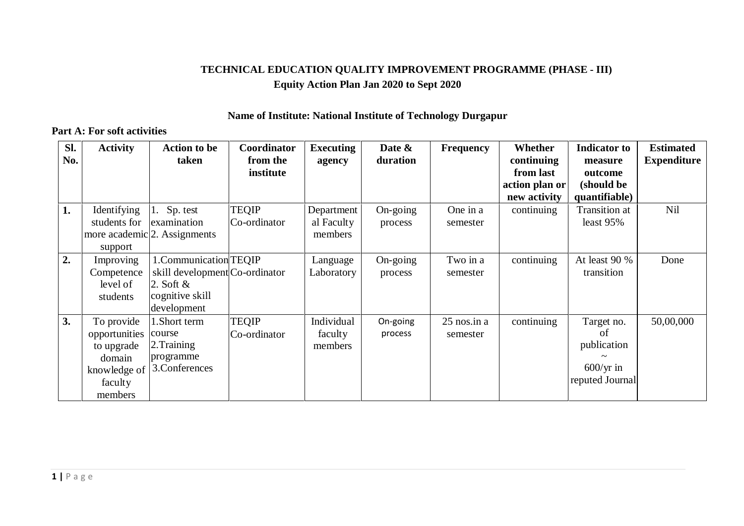## **TECHNICAL EDUCATION QUALITY IMPROVEMENT PROGRAMME (PHASE - III) Equity Action Plan Jan 2020 to Sept 2020**

#### **Name of Institute: National Institute of Technology Durgapur**

#### **Part A: For soft activities**

| Sl.<br>No. | <b>Activity</b>                                                                           | <b>Action to be</b><br>taken                                                                              | Coordinator<br>from the      | <b>Executing</b><br>agency          | Date $\&$<br>duration | <b>Frequency</b>          | Whether<br>continuing                       | <b>Indicator</b> to<br>measure                                           | <b>Estimated</b><br><b>Expenditure</b> |
|------------|-------------------------------------------------------------------------------------------|-----------------------------------------------------------------------------------------------------------|------------------------------|-------------------------------------|-----------------------|---------------------------|---------------------------------------------|--------------------------------------------------------------------------|----------------------------------------|
|            |                                                                                           |                                                                                                           | institute                    |                                     |                       |                           | from last<br>action plan or<br>new activity | outcome<br>(should be<br>quantifiable)                                   |                                        |
| 1.         | Identifying<br>students for<br>support                                                    | 1. Sp. test<br>examination<br>more academic <sup>[2</sup> ]. Assignments                                  | <b>TEQIP</b><br>Co-ordinator | Department<br>al Faculty<br>members | On-going<br>process   | One in a<br>semester      | continuing                                  | <b>Transition</b> at<br>least 95%                                        | Nil                                    |
| 2.         | Improving<br>Competence<br>level of<br>students                                           | 1.Communication TEQIP<br>skill development Co-ordinator<br>2. Soft $\&$<br>cognitive skill<br>development |                              | Language<br>Laboratory              | On-going<br>process   | Two in a<br>semester      | continuing                                  | At least 90 %<br>transition                                              | Done                                   |
| 3.         | To provide<br>opportunities<br>to upgrade<br>domain<br>knowledge of<br>faculty<br>members | 1.Short term<br>course<br>2. Training<br>programme<br>3. Conferences                                      | <b>TEQIP</b><br>Co-ordinator | Individual<br>faculty<br>members    | On-going<br>process   | $25$ nos.in a<br>semester | continuing                                  | Target no.<br>of<br>publication<br>$600/\text{yr}$ in<br>reputed Journal | 50,00,000                              |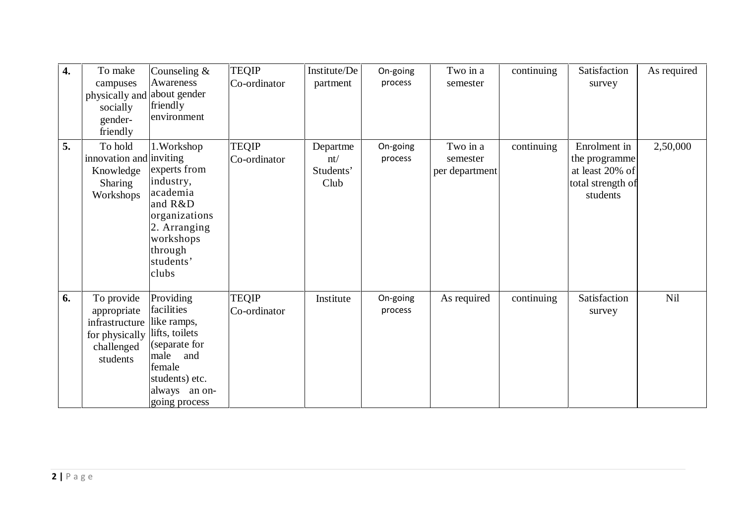| 4. | To make<br>campuses<br>physically and about gender<br>socially<br>gender-<br>friendly   | Counseling $&$<br>Awareness<br>friendly<br>environment                                                                                                 | <b>TEQIP</b><br>Co-ordinator | Institute/De<br>partment             | On-going<br>process | Two in a<br>semester                   | continuing | Satisfaction<br>survey                                                            | As required |  |
|----|-----------------------------------------------------------------------------------------|--------------------------------------------------------------------------------------------------------------------------------------------------------|------------------------------|--------------------------------------|---------------------|----------------------------------------|------------|-----------------------------------------------------------------------------------|-------------|--|
| 5. | To hold<br>innovation and inviting<br>Knowledge<br><b>Sharing</b><br>Workshops          | 1. Workshop<br>experts from<br>industry,<br>academia<br>and R&D<br>organizations<br>2. Arranging<br>workshops<br>through<br>students'<br>clubs         | <b>TEQIP</b><br>Co-ordinator | Departme<br>nt/<br>Students'<br>Club | On-going<br>process | Two in a<br>semester<br>per department | continuing | Enrolment in<br>the programme<br>at least 20% of<br>total strength of<br>students | 2,50,000    |  |
| 6. | To provide<br>appropriate<br>infrastructure<br>for physically<br>challenged<br>students | Providing<br>facilities<br>like ramps,<br>lifts, toilets<br>(separate for<br>male<br>and<br>female<br>students) etc.<br>always an on-<br>going process | <b>TEQIP</b><br>Co-ordinator | Institute                            | On-going<br>process | As required                            | continuing | Satisfaction<br>survey                                                            | Nil         |  |